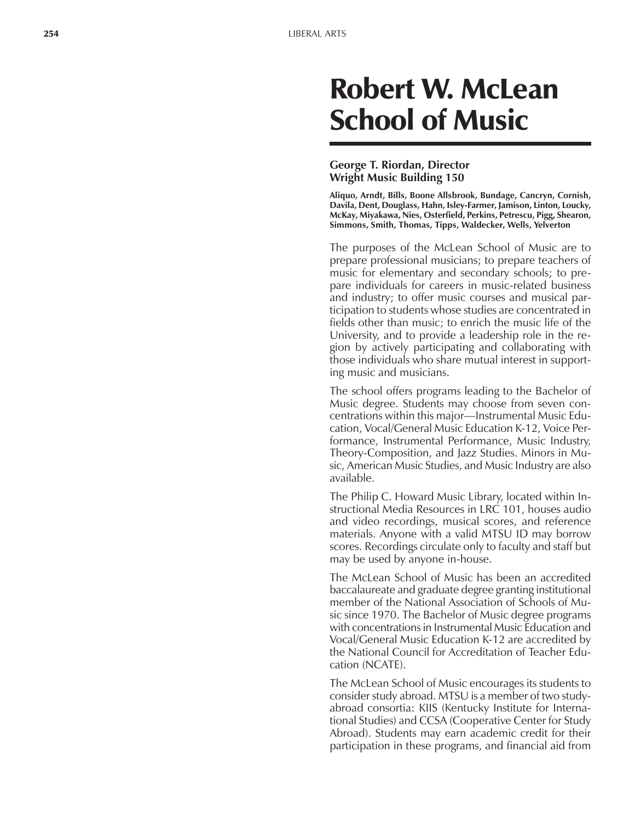# Robert W. McLean School of Music

#### **George T. Riordan, Director Wright Music Building 150**

**Aliquo, Arndt, Bills, Boone Allsbrook, Bundage, Cancryn, Cornish, Davila, Dent, Douglass, Hahn, Isley-Farmer, Jamison, Linton, Loucky, McKay, Miyakawa, Nies, Osterfield, Perkins, Petrescu, Pigg, Shearon, Simmons, Smith, Thomas, Tipps, Waldecker, Wells, Yelverton**

The purposes of the McLean School of Music are to prepare professional musicians; to prepare teachers of music for elementary and secondary schools; to prepare individuals for careers in music-related business and industry; to offer music courses and musical participation to students whose studies are concentrated in fields other than music; to enrich the music life of the University, and to provide a leadership role in the region by actively participating and collaborating with those individuals who share mutual interest in supporting music and musicians.

The school offers programs leading to the Bachelor of Music degree. Students may choose from seven concentrations within this major—Instrumental Music Education, Vocal/General Music Education K-12, Voice Performance, Instrumental Performance, Music Industry, Theory-Composition, and Jazz Studies. Minors in Music, American Music Studies, and Music Industry are also available.

The Philip C. Howard Music Library, located within Instructional Media Resources in LRC 101, houses audio and video recordings, musical scores, and reference materials. Anyone with a valid MTSU ID may borrow scores. Recordings circulate only to faculty and staff but may be used by anyone in-house.

The McLean School of Music has been an accredited baccalaureate and graduate degree granting institutional member of the National Association of Schools of Music since 1970. The Bachelor of Music degree programs with concentrations in Instrumental Music Education and Vocal/General Music Education K-12 are accredited by the National Council for Accreditation of Teacher Education (NCATE).

The McLean School of Music encourages its students to consider study abroad. MTSU is a member of two studyabroad consortia: KIIS (Kentucky Institute for International Studies) and CCSA (Cooperative Center for Study Abroad). Students may earn academic credit for their participation in these programs, and financial aid from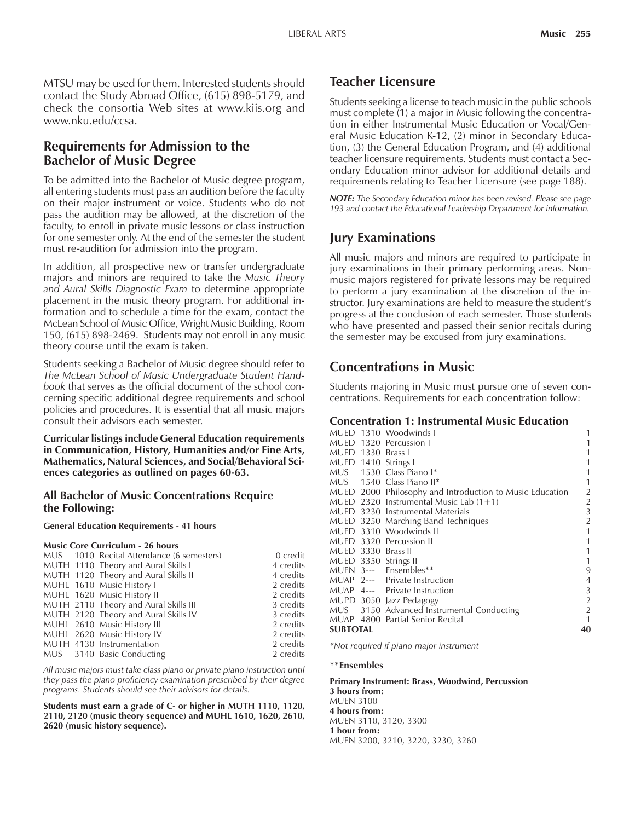MTSU may be used for them. Interested students should contact the Study Abroad Office, (615) 898-5179, and check the consortia Web sites at www.kiis.org and www.nku.edu/ccsa.

# **Requirements for Admission to the Bachelor of Music Degree**

To be admitted into the Bachelor of Music degree program, all entering students must pass an audition before the faculty on their major instrument or voice. Students who do not pass the audition may be allowed, at the discretion of the faculty, to enroll in private music lessons or class instruction for one semester only. At the end of the semester the student must re-audition for admission into the program.

In addition, all prospective new or transfer undergraduate majors and minors are required to take the *Music Theory and Aural Skills Diagnostic Exam* to determine appropriate placement in the music theory program. For additional information and to schedule a time for the exam, contact the McLean School of Music Office, Wright Music Building, Room 150, (615) 898-2469. Students may not enroll in any music theory course until the exam is taken.

Students seeking a Bachelor of Music degree should refer to *The McLean School of Music Undergraduate Student Handbook* that serves as the official document of the school concerning specific additional degree requirements and school policies and procedures. It is essential that all music majors consult their advisors each semester.

**Curricular listings include General Education requirements in Communication, History, Humanities and/or Fine Arts, Mathematics, Natural Sciences, and Social/Behavioral Sciences categories as outlined on pages 60-63.**

#### **All Bachelor of Music Concentrations Require the Following:**

**General Education Requirements - 41 hours**

#### **Music Core Curriculum - 26 hours**

|  | MUS 1010 Recital Attendance (6 semesters) | 0 credit  |
|--|-------------------------------------------|-----------|
|  | MUTH 1110 Theory and Aural Skills I       | 4 credits |
|  | MUTH 1120 Theory and Aural Skills II      | 4 credits |
|  | MUHL 1610 Music History I                 | 2 credits |
|  | MUHL 1620 Music History II                | 2 credits |
|  | MUTH 2110 Theory and Aural Skills III     | 3 credits |
|  | MUTH 2120 Theory and Aural Skills IV      | 3 credits |
|  | MUHL 2610 Music History III               | 2 credits |
|  | MUHL 2620 Music History IV                | 2 credits |
|  | MUTH 4130 Instrumentation                 | 2 credits |
|  | MUS 3140 Basic Conducting                 | 2 credits |
|  |                                           |           |

*All music majors must take class piano or private piano instruction until they pass the piano proficiency examination prescribed by their degree programs. Students should see their advisors for details.*

**Students must earn a grade of C- or higher in MUTH 1110, 1120, 2110, 2120 (music theory sequence) and MUHL 1610, 1620, 2610, 2620 (music history sequence).**

# **Teacher Licensure**

Students seeking a license to teach music in the public schools must complete (1) a major in Music following the concentration in either Instrumental Music Education or Vocal/General Music Education K-12, (2) minor in Secondary Education, (3) the General Education Program, and (4) additional teacher licensure requirements. Students must contact a Secondary Education minor advisor for additional details and requirements relating to Teacher Licensure (see page 188).

*NOTE: The Secondary Education minor has been revised. Please see page 193 and contact the Educational Leadership Department for information.*

# **Jury Examinations**

All music majors and minors are required to participate in jury examinations in their primary performing areas. Nonmusic majors registered for private lessons may be required to perform a jury examination at the discretion of the instructor. Jury examinations are held to measure the student's progress at the conclusion of each semester. Those students who have presented and passed their senior recitals during the semester may be excused from jury examinations.

# **Concentrations in Music**

Students majoring in Music must pursue one of seven concentrations. Requirements for each concentration follow:

#### **Concentration 1: Instrumental Music Education**

|                  |                       | MUED 1310 Woodwinds I                                    |                |  |
|------------------|-----------------------|----------------------------------------------------------|----------------|--|
| mued             |                       | 1320 Percussion I                                        |                |  |
| <b>MUED 1330</b> |                       | - Brass I                                                |                |  |
|                  |                       | MUED 1410 Strings I                                      |                |  |
|                  |                       | MUS 1530 Class Piano I*                                  |                |  |
|                  |                       | MUS 1540 Class Piano II*                                 |                |  |
|                  |                       | MUED 2000 Philosophy and Introduction to Music Education | $\overline{2}$ |  |
|                  |                       | MUED 2320 Instrumental Music Lab $(1+1)$                 | $\overline{2}$ |  |
|                  |                       | MUED 3230 Instrumental Materials                         | 3              |  |
|                  |                       | MUED 3250 Marching Band Techniques                       | $\overline{2}$ |  |
|                  |                       | MUED 3310 Woodwinds II                                   | 1              |  |
|                  |                       | MUED 3320 Percussion II                                  | 1              |  |
| MUED 3330        |                       | - Brass II                                               |                |  |
|                  |                       | MUED 3350 Strings II                                     | 1              |  |
|                  |                       | MUEN 3--- Ensembles**                                    | 9              |  |
|                  |                       | MUAP 2--- Private Instruction                            | 4              |  |
|                  |                       | MUAP 4--- Private Instruction                            | 3              |  |
|                  |                       | MUPD 3050 Jazz Pedagogy                                  | $\overline{2}$ |  |
|                  |                       | MUS 3150 Advanced Instrumental Conducting                | $\overline{2}$ |  |
|                  |                       | MUAP 4800 Partial Senior Recital                         |                |  |
|                  | <b>SUBTOTAL</b><br>40 |                                                          |                |  |

*\*Not required if piano major instrument*

#### **\*\*Ensembles**

**Primary Instrument: Brass, Woodwind, Percussion 3 hours from:** MUEN 3100 **4 hours from:** MUEN 3110, 3120, 3300 **1 hour from:** MUEN 3200, 3210, 3220, 3230, 3260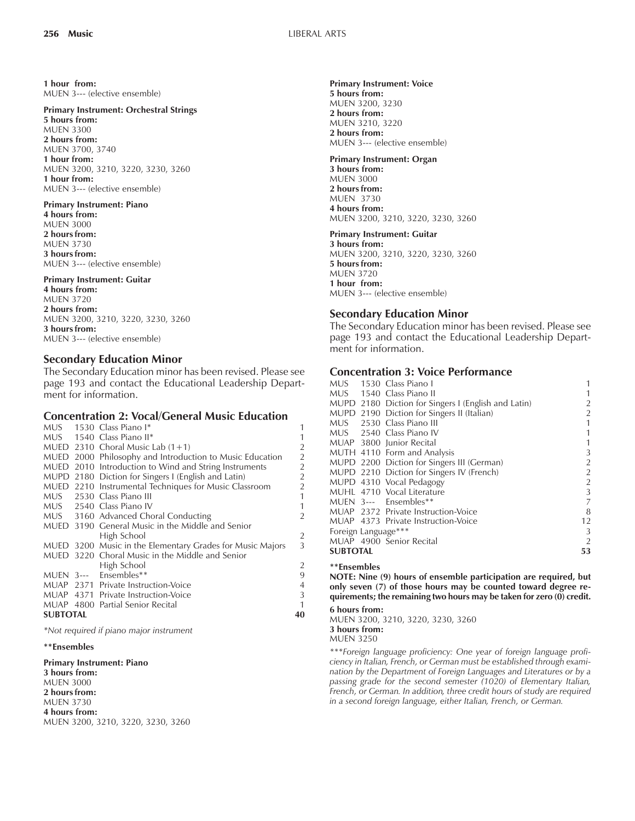**1 hour from:** MUEN 3--- (elective ensemble)

#### **Primary Instrument: Orchestral Strings**

**5 hours from:** MUEN 3300 **2 hours from:** MUEN 3700, 3740 **1 hour from:** MUEN 3200, 3210, 3220, 3230, 3260 **1 hour from:** MUEN 3--- (elective ensemble)

#### **Primary Instrument: Piano 4 hours from:** MUEN 3000 **2 hours from:** MUEN 3730 **3 hours from:** MUEN 3--- (elective ensemble)

#### **Primary Instrument: Guitar**

**4 hours from:** MUEN 3720 **2 hours from:** MUEN 3200, 3210, 3220, 3230, 3260 **3 hours from:** MUEN 3--- (elective ensemble)

#### **Secondary Education Minor**

The Secondary Education minor has been revised. Please see page 193 and contact the Educational Leadership Department for information.

#### **Concentration 2: Vocal/General Music Education**

|        |                       | MUS 1530 Class Piano I*                                   | 1              |
|--------|-----------------------|-----------------------------------------------------------|----------------|
|        |                       | MUS 1540 Class Piano II*                                  | 1              |
|        |                       | MUED 2310 Choral Music Lab $(1+1)$                        | $\overline{2}$ |
|        |                       | MUED 2000 Philosophy and Introduction to Music Education  | $\frac{2}{2}$  |
|        |                       | MUED 2010 Introduction to Wind and String Instruments     |                |
|        |                       | MUPD 2180 Diction for Singers I (English and Latin)       | $\overline{2}$ |
|        |                       | MUED 2210 Instrumental Techniques for Music Classroom     | $\overline{2}$ |
|        |                       | MUS 2530 Class Piano III                                  | $\mathbf{1}$   |
|        |                       | MUS 2540 Class Piano IV                                   | 1              |
|        |                       | MUS 3160 Advanced Choral Conducting                       | 2              |
|        |                       | MUED 3190 General Music in the Middle and Senior          |                |
|        |                       | High School                                               | $\overline{2}$ |
|        |                       | MUED 3200 Music in the Elementary Grades for Music Majors | 3              |
| mued - |                       | 3220 Choral Music in the Middle and Senior                |                |
|        |                       | High School                                               | 2              |
|        |                       | MUEN 3--- Ensembles**                                     | 9              |
|        |                       | MUAP 2371 Private Instruction-Voice                       | $\overline{4}$ |
|        |                       | MUAP 4371 Private Instruction-Voice                       | 3              |
|        |                       | MUAP 4800 Partial Senior Recital                          | 1              |
|        | <b>SUBTOTAL</b><br>40 |                                                           |                |

*\*Not required if piano major instrument*

#### **\*\*Ensembles**

**Primary Instrument: Piano**

**3 hours from:** MUEN 3000 **2 hours from:** MUEN 3730 **4 hours from:** MUEN 3200, 3210, 3220, 3230, 3260

#### **Primary Instrument: Voice 5 hours from:**

MUEN 3200, 3230 **2 hours from:** MUEN 3210, 3220 **2 hours from:** MUEN 3--- (elective ensemble)

#### **Primary Instrument: Organ**

**3 hours from:** MUEN 3000 **2 hours from:** MUEN 3730 **4 hours from:** MUEN 3200, 3210, 3220, 3230, 3260

#### **Primary Instrument: Guitar**

**3 hours from:** MUEN 3200, 3210, 3220, 3230, 3260 **5 hours from:** MUEN 3720 **1 hour from:** MUEN 3--- (elective ensemble)

#### **Secondary Education Minor**

The Secondary Education minor has been revised. Please see page 193 and contact the Educational Leadership Department for information.

#### **Concentration 3: Voice Performance**

| MUS 1540 Class Piano II                             | 2              |
|-----------------------------------------------------|----------------|
|                                                     |                |
| MUPD 2180 Diction for Singers I (English and Latin) |                |
| MUPD 2190 Diction for Singers II (Italian)          | $\overline{2}$ |
| MUS 2530 Class Piano III                            | 1              |
| MUS 2540 Class Piano IV                             | 1              |
| MUAP 3800 Junior Recital                            | 1              |
| MUTH 4110 Form and Analysis                         | 3              |
| MUPD 2200 Diction for Singers III (German)          | $\overline{2}$ |
| MUPD 2210 Diction for Singers IV (French)           | 2              |
| MUPD 4310 Vocal Pedagogy                            | 2              |
| MUHL 4710 Vocal Literature                          | 3              |
| MUEN 3--- Ensembles**                               | 7              |
| MUAP 2372 Private Instruction-Voice                 | 8              |
| MUAP 4373 Private Instruction-Voice                 | 12             |
| Foreign Language***                                 | 3              |
| MUAP 4900 Senior Recital                            | 2              |
| <b>SUBTOTAL</b>                                     | 53             |

#### **\*\*Ensembles**

**NOTE: Nine (9) hours of ensemble participation are required, but only seven (7) of those hours may be counted toward degree requirements; the remaining two hours may be taken for zero (0) credit.**

#### **6 hours from:**

MUEN 3200, 3210, 3220, 3230, 3260 **3 hours from:**

MUEN 3250

*\*\*\*Foreign language proficiency: One year of foreign language proficiency in Italian, French, or German must be established through examination by the Department of Foreign Languages and Literatures or by a passing grade for the second semester (1020) of Elementary Italian, French, or German. In addition, three credit hours of study are required in a second foreign language, either Italian, French, or German.*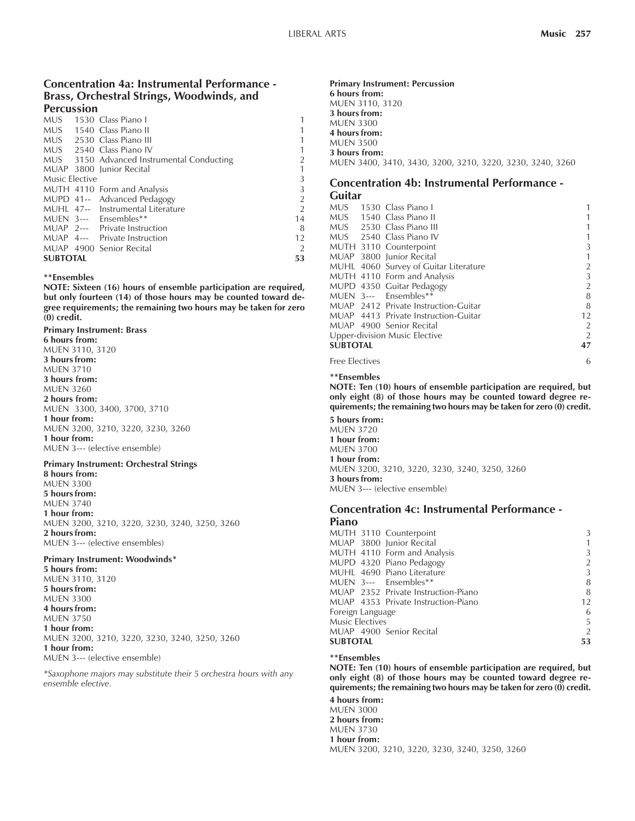#### **Concentration 4a: Instrumental Performance - Brass, Orchestral Strings, Woodwinds, and Percussion**

|                 |  | MUS 1530 Class Piano I                    |                |
|-----------------|--|-------------------------------------------|----------------|
|                 |  | MUS 1540 Class Piano II                   | 1              |
|                 |  | MUS 2530 Class Piano III                  | 1              |
|                 |  | MUS 2540 Class Piano IV                   | 1              |
|                 |  | MUS 3150 Advanced Instrumental Conducting | 2              |
|                 |  | MUAP 3800 Junior Recital                  | 1              |
| Music Elective  |  |                                           | 3              |
|                 |  | MUTH 4110 Form and Analysis               | 3              |
|                 |  | MUPD 41-- Advanced Pedagogy               | $\overline{2}$ |
|                 |  | MUHL 47-- Instrumental Literature         | $\overline{2}$ |
|                 |  | MUEN 3--- Ensembles**                     | 14             |
|                 |  | MUAP 2--- Private Instruction             | 8              |
|                 |  | MUAP 4--- Private Instruction             | 12             |
|                 |  | MUAP 4900 Senior Recital                  | $\overline{2}$ |
| <b>SUBTOTAL</b> |  |                                           | 53             |

#### **\*\*Ensembles**

**NOTE: Sixteen (16) hours of ensemble participation are required, but only fourteen (14) of those hours may be counted toward degree requirements; the remaining two hours may be taken for zero (0) credit.**

**Primary Instrument: Brass 6 hours from:** MUEN 3110, 3120 **3 hours from:** MUEN 3710 **3 hours from:** MUEN 3260 **2 hours from:** MUEN 3300, 3400, 3700, 3710 **1 hour from:** MUEN 3200, 3210, 3220, 3230, 3260 **1 hour from:** MUEN 3--- (elective ensemble)

#### **Primary Instrument: Orchestral Strings**

**8 hours from:** MUEN 3300 **5 hours from:** MUEN 3740 **1 hour from:** MUEN 3200, 3210, 3220, 3230, 3240, 3250, 3260 **2 hours from:** MUEN 3--- (elective ensembles)

#### **Primary Instrument: Woodwinds\***

**5 hours from:** MUEN 3110, 3120 **5 hours from:** MUEN 3300 **4 hours from:** MUEN 3750 **1 hour from:** MUEN 3200, 3210, 3220, 3230, 3240, 3250, 3260 **1 hour from:** MUEN 3--- (elective ensemble)

*\*Saxophone majors may substitute their 5 orchestra hours with any ensemble elective.*

#### **Primary Instrument: Percussion 6 hours from:** MUEN 3110, 3120 **3 hours from:** MUEN 3300 **4 hours from:** MUEN 3500 **3 hours from:** MUEN 3400, 3410, 3430, 3200, 3210, 3220, 3230, 3240, 3260

#### **Concentration 4b: Instrumental Performance - Guitar**

|                       | MUS 1530 Class Piano I                |                |
|-----------------------|---------------------------------------|----------------|
|                       | MUS 1540 Class Piano II               |                |
|                       | MUS 2530 Class Piano III              |                |
|                       | MUS 2540 Class Piano IV               |                |
|                       | MUTH 3110 Counterpoint                | 3              |
|                       | MUAP 3800 Junior Recital              | 1              |
|                       | MUHL 4060 Survey of Guitar Literature | $\overline{2}$ |
|                       | MUTH 4110 Form and Analysis           | 3              |
|                       | MUPD 4350 Guitar Pedagogy             | $\overline{2}$ |
|                       | MUEN 3--- Ensembles**                 | 8              |
|                       | MUAP 2412 Private Instruction-Guitar  | 8              |
|                       | MUAP 4413 Private Instruction-Guitar  | 12             |
|                       | MUAP 4900 Senior Recital              | 2              |
|                       | Upper-division Music Elective         | $\overline{2}$ |
| <b>SUBTOTAL</b>       |                                       | 47             |
| <b>Free Electives</b> |                                       | 6              |

#### **\*\*Ensembles**

**NOTE: Ten (10) hours of ensemble participation are required, but only eight (8) of those hours may be counted toward degree requirements; the remaining two hours may be taken for zero (0) credit.**

**5 hours from:** MUEN 3720 **1 hour from:** MUEN 3700 **1 hour from:** MUEN 3200, 3210, 3220, 3230, 3240, 3250, 3260 **3 hours from:** MUEN 3--- (elective ensemble)

#### **Concentration 4c: Instrumental Performance - Piano**

| 3                                         |
|-------------------------------------------|
|                                           |
| 3                                         |
| 2                                         |
| 3                                         |
| 8                                         |
| MUAP 2352 Private Instruction-Piano<br>8  |
| MUAP 4353 Private Instruction-Piano<br>12 |
| 6                                         |
| 5                                         |
| 2                                         |
| 53                                        |
| MUTH 4110 Form and Analysis               |

#### **\*\*Ensembles**

**NOTE: Ten (10) hours of ensemble participation are required, but only eight (8) of those hours may be counted toward degree requirements; the remaining two hours may be taken for zero (0) credit.**

**4 hours from:** MUEN 3000 **2 hours from:** MUEN 3730 **1 hour from:** MUEN 3200, 3210, 3220, 3230, 3240, 3250, 3260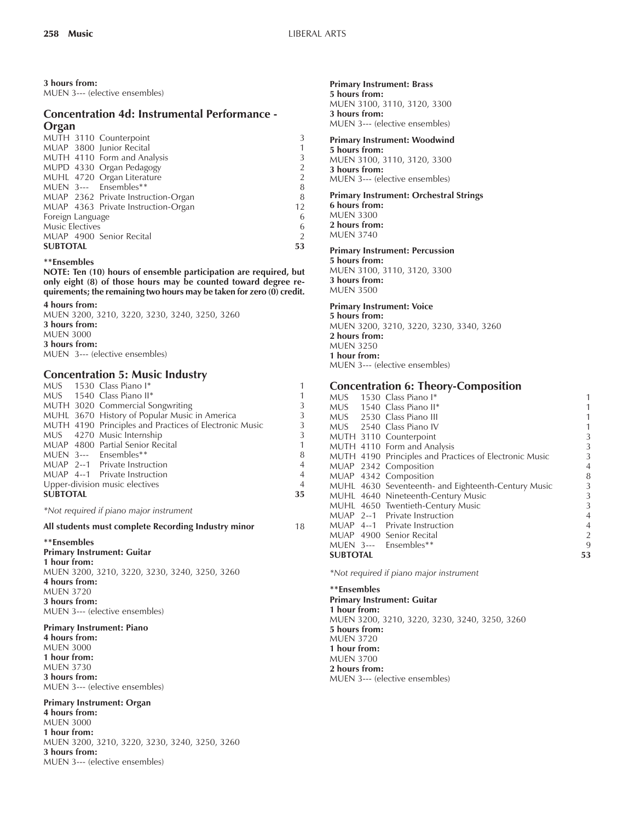#### **3 hours from:**

MUEN 3--- (elective ensembles)

## **Concentration 4d: Instrumental Performance - Organ**

| MUTH 3110 Counterpoint              |    |  |  |
|-------------------------------------|----|--|--|
| MUAP 3800 Junior Recital            |    |  |  |
| MUTH 4110 Form and Analysis         |    |  |  |
| MUPD 4330 Organ Pedagogy            |    |  |  |
| MUHL 4720 Organ Literature          |    |  |  |
| MUEN 3--- Ensembles**               | 8  |  |  |
| MUAP 2362 Private Instruction-Organ | 8  |  |  |
| MUAP 4363 Private Instruction-Organ | 12 |  |  |
| Foreign Language                    |    |  |  |
| Music Electives                     |    |  |  |
| MUAP 4900 Senior Recital            |    |  |  |
| <b>SUBTOTAL</b>                     | 53 |  |  |

#### **\*\*Ensembles**

**NOTE: Ten (10) hours of ensemble participation are required, but only eight (8) of those hours may be counted toward degree requirements; the remaining two hours may be taken for zero (0) credit.**

**4 hours from:**

| MUEN 3200, 3210, 3220, 3230, 3240, 3250, 3260 |  |
|-----------------------------------------------|--|
| 3 hours from:                                 |  |
| <b>MUEN 3000</b>                              |  |
| 3 hours from:                                 |  |
| MUEN 3--- (elective ensembles)                |  |

### **Concentration 5: Music Industry**

|                                                     |  | MUS 1530 Class Piano I*                                | 1              |  |  |
|-----------------------------------------------------|--|--------------------------------------------------------|----------------|--|--|
|                                                     |  | MUS 1540 Class Piano II*                               | 1              |  |  |
|                                                     |  | MUTH 3020 Commercial Songwriting                       | 3              |  |  |
|                                                     |  | MUHL 3670 History of Popular Music in America          | 3              |  |  |
|                                                     |  | MUTH 4190 Principles and Practices of Electronic Music | 3              |  |  |
|                                                     |  | MUS 4270 Music Internship                              | 3              |  |  |
|                                                     |  | MUAP 4800 Partial Senior Recital                       | 1              |  |  |
|                                                     |  | MUEN 3--- Ensembles**                                  | 8              |  |  |
|                                                     |  | MUAP 2--1 Private Instruction                          | $\overline{4}$ |  |  |
|                                                     |  | MUAP 4--1 Private Instruction                          | $\overline{4}$ |  |  |
| Upper-division music electives                      |  |                                                        |                |  |  |
| <b>SUBTOTAL</b>                                     |  |                                                        | 35             |  |  |
| *Not required if piano major instrument             |  |                                                        |                |  |  |
| All students must complete Recording Industry minor |  |                                                        | 18             |  |  |
| **Ensembles                                         |  |                                                        |                |  |  |

**Primary Instrument: Guitar 1 hour from:** MUEN 3200, 3210, 3220, 3230, 3240, 3250, 3260 **4 hours from:** MUEN 3720 **3 hours from:** MUEN 3--- (elective ensembles)

**Primary Instrument: Piano 4 hours from:** MUEN 3000 **1 hour from:** MUEN 3730 **3 hours from:** MUEN 3--- (elective ensembles)

**Primary Instrument: Organ 4 hours from:** MUEN 3000 **1 hour from:** MUEN 3200, 3210, 3220, 3230, 3240, 3250, 3260 **3 hours from:** MUEN 3--- (elective ensembles)

#### **Primary Instrument: Brass 5 hours from:**

MUEN 3100, 3110, 3120, 3300 **3 hours from:** MUEN 3--- (elective ensembles)

#### **Primary Instrument: Woodwind**

**5 hours from:** MUEN 3100, 3110, 3120, 3300 **3 hours from:** MUEN 3--- (elective ensembles)

### **Primary Instrument: Orchestral Strings**

**6 hours from:** MUEN 3300 **2 hours from:** MUEN 3740

#### **Primary Instrument: Percussion**

**5 hours from:** MUEN 3100, 3110, 3120, 3300 **3 hours from:** MUEN 3500

#### **Primary Instrument: Voice**

**5 hours from:** MUEN 3200, 3210, 3220, 3230, 3340, 3260 **2 hours from:** MUEN 3250 **1 hour from:** MUEN 3--- (elective ensembles)

#### **Concentration 6: Theory-Composition**

|                 | MUS 1530 Class Piano I*                                |                |
|-----------------|--------------------------------------------------------|----------------|
|                 | MUS 1540 Class Piano II*                               |                |
|                 | MUS 2530 Class Piano III                               | 1              |
|                 | MUS 2540 Class Piano IV                                | 1              |
|                 | MUTH 3110 Counterpoint                                 | 3              |
|                 | MUTH 4110 Form and Analysis                            | 3              |
|                 | MUTH 4190 Principles and Practices of Electronic Music | 3              |
|                 | MUAP 2342 Composition                                  | $\overline{4}$ |
|                 | MUAP 4342 Composition                                  | 8              |
|                 | MUHL 4630 Seventeenth- and Eighteenth-Century Music    | 3              |
|                 | MUHL 4640 Nineteenth-Century Music                     | 3              |
|                 | MUHL 4650 Twentieth-Century Music                      | 3              |
|                 | MUAP 2--1 Private Instruction                          | $\overline{4}$ |
|                 | MUAP 4--1 Private Instruction                          | $\overline{4}$ |
|                 | MUAP 4900 Senior Recital                               | $\overline{2}$ |
|                 | MUEN 3--- Ensembles**                                  | 9              |
| <b>SUBTOTAL</b> |                                                        | 53             |
|                 |                                                        |                |

*\*Not required if piano major instrument*

**\*\*Ensembles Primary Instrument: Guitar 1 hour from:** MUEN 3200, 3210, 3220, 3230, 3240, 3250, 3260 **5 hours from:** MUEN 3720 **1 hour from:** MUEN 3700 **2 hours from:** MUEN 3--- (elective ensembles)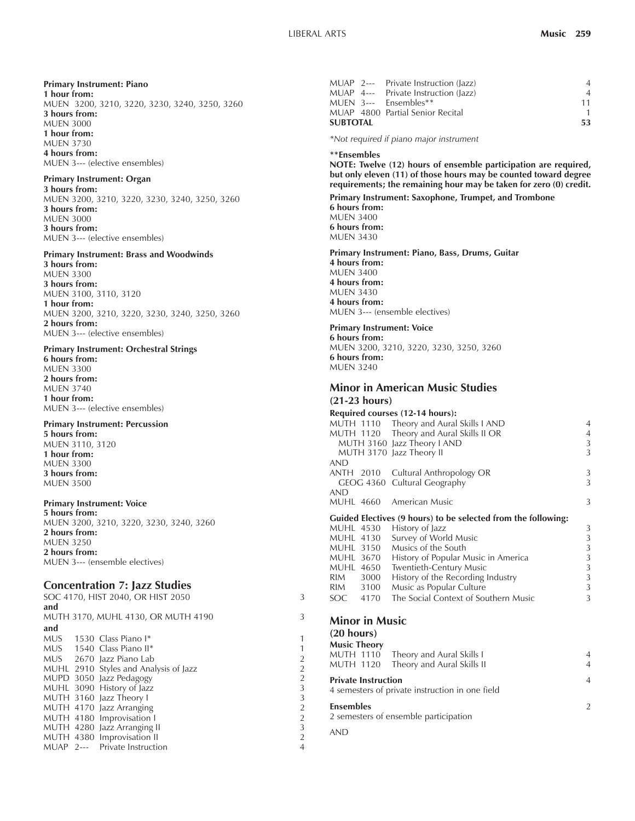#### **Primary Instrument: Piano**

**1 hour from:** MUEN 3200, 3210, 3220, 3230, 3240, 3250, 3260 **3 hours from:** MUEN 3000 **1 hour from:** MUEN 3730 **4 hours from:** MUEN 3--- (elective ensembles)

#### **Primary Instrument: Organ**

**3 hours from:** MUEN 3200, 3210, 3220, 3230, 3240, 3250, 3260 **3 hours from:** MUEN 3000 **3 hours from:** MUEN 3--- (elective ensembles)

#### **Primary Instrument: Brass and Woodwinds**

**3 hours from:** MUEN 3300 **3 hours from:** MUEN 3100, 3110, 3120 **1 hour from:** MUEN 3200, 3210, 3220, 3230, 3240, 3250, 3260 **2 hours from:** MUEN 3--- (elective ensembles)

#### **Primary Instrument: Orchestral Strings**

**6 hours from:** MUEN 3300 **2 hours from:** MUEN 3740 **1 hour from:** MUEN 3--- (elective ensembles)

#### **Primary Instrument: Percussion**

**5 hours from:** MUEN 3110, 3120 **1 hour from:** MUEN 3300 **3 hours from:** MUEN 3500

#### **Primary Instrument: Voice**

**5 hours from:** MUEN 3200, 3210, 3220, 3230, 3240, 3260 **2 hours from:** MUEN 3250 **2 hours from:** MUEN 3--- (ensemble electives)

#### **Concentration 7: Jazz Studies**

|     | SOC 4170, HIST 2040, OR HIST 2050 |                                       |                         |
|-----|-----------------------------------|---------------------------------------|-------------------------|
| and |                                   |                                       |                         |
|     |                                   | MUTH 3170, MUHL 4130, OR MUTH 4190    | 3                       |
| and |                                   |                                       |                         |
|     |                                   | MUS 1530 Class Piano I*               | 1                       |
|     |                                   | MUS 1540 Class Piano II*              | 1                       |
|     |                                   | MUS 2670 Jazz Piano Lab               | $\overline{2}$          |
|     |                                   | MUHL 2910 Styles and Analysis of Jazz | $\overline{2}$          |
|     |                                   | MUPD 3050 Jazz Pedagogy               | $\overline{\mathbf{c}}$ |
|     |                                   | MUHL 3090 History of Jazz             | 3                       |
|     |                                   | MUTH 3160 Jazz Theory I               | 3                       |
|     |                                   | MUTH 4170 Jazz Arranging              |                         |
|     |                                   | MUTH 4180 Improvisation I             | $\frac{2}{2}$           |
|     |                                   | MUTH 4280 Jazz Arranging II           | 3                       |
|     |                                   | MUTH 4380 Improvisation II            | $\overline{2}$          |
|     |                                   | MUAP 2--- Private Instruction         | $\overline{4}$          |

|                 |  | MUAP 2--- Private Instruction (lazz) |    |
|-----------------|--|--------------------------------------|----|
|                 |  | MUAP 4--- Private Instruction (lazz) |    |
|                 |  | MUEN 3--- Ensembles**                | 11 |
|                 |  | MUAP 4800 Partial Senior Recital     |    |
| <b>SUBTOTAL</b> |  |                                      |    |

*\*Not required if piano major instrument*

#### **\*\*Ensembles**

**NOTE: Twelve (12) hours of ensemble participation are required, but only eleven (11) of those hours may be counted toward degree requirements; the remaining hour may be taken for zero (0) credit.**

#### **Primary Instrument: Saxophone, Trumpet, and Trombone**

**6 hours from:** MUEN 3400 **6 hours from:** MUEN 3430

#### **Primary Instrument: Piano, Bass, Drums, Guitar 4 hours from:** MUEN 3400 **4 hours from:** MUEN 3430

**4 hours from:** MUEN 3--- (ensemble electives)

#### **Primary Instrument: Voice**

**6 hours from:** MUEN 3200, 3210, 3220, 3230, 3250, 3260 **6 hours from:** MUEN 3240

#### **Minor in American Music Studies (21-23 hours)**

#### **Required courses (12-14 hours):** MUTH 1110 Theory and Aural Skills I AND 44<br>MUTH 1120 Theory and Aural Skills II OR 44 MUTH 1120 Theory and Aural Skills II OR MUTH 3160 Jazz Theory LAND 33<br>MUTH 3170 Jazz Theory II 33 MUTH 3170 Jazz Theory II AND ANTH 2010 Cultural Anthropology OR 3 GEOG 4360 Cultural Geography AND MUHL 4660 American Music 3 **Guided Electives (9 hours) to be selected from the following:** MUHL 4530 History of Jazz 3 MUHL 4130 Survey of World Music 33<br>MUHL 3150 Musics of the South 3 Musics of the South MUHL 3670 History of Popular Music in America 3<br>MUHL 4650 Twentieth-Century Music 3 MUHL 4650 Twentieth-Century Music 3<br>RIM 3000 History of the Recording Industry 3 History of the Recording Industry RIM 3100 Music as Popular Culture 3 SOC 4170 The Social Context of Southern Music 3

### **Minor in Music**

# **(20 hours)**

| <b>Music Theory</b>                                                           | MUTH 1110 Theory and Aural Skills I<br>MUTH 1120 Theory and Aural Skills II | $\overline{A}$<br>$\overline{4}$ |
|-------------------------------------------------------------------------------|-----------------------------------------------------------------------------|----------------------------------|
| <b>Private Instruction</b><br>4 semesters of private instruction in one field |                                                                             |                                  |
| <b>Ensembles</b><br>2 semesters of ensemble participation                     |                                                                             |                                  |

AND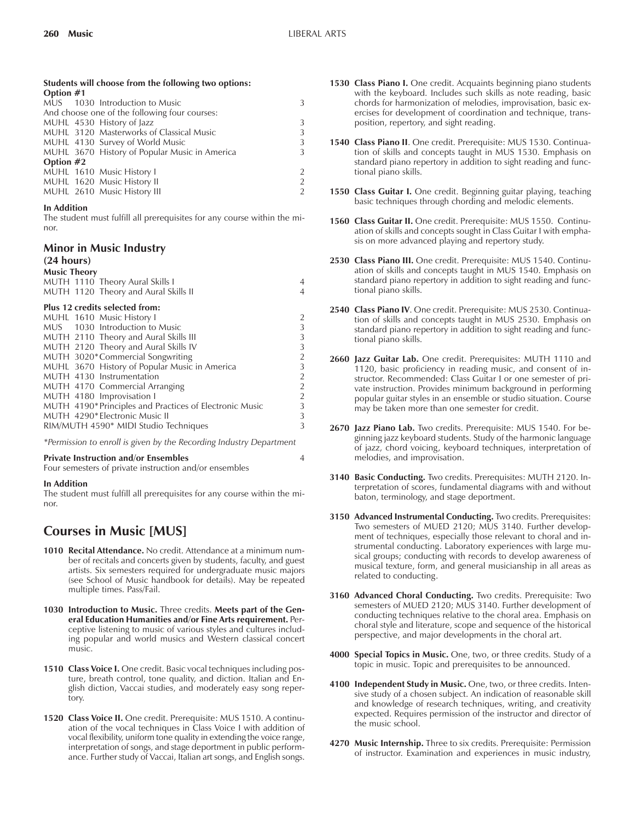#### **Students will choose from the following two options: Option #1**

| $V$ $V$ $V$ $V$ $V$ $V$ $V$ $V$               |                                               |  |  |  |  |
|-----------------------------------------------|-----------------------------------------------|--|--|--|--|
|                                               | MUS 1030 Introduction to Music                |  |  |  |  |
| And choose one of the following four courses: |                                               |  |  |  |  |
|                                               | MUHL 4530 History of Jazz                     |  |  |  |  |
|                                               | MUHL 3120 Masterworks of Classical Music      |  |  |  |  |
|                                               | MUHL 4130 Survey of World Music               |  |  |  |  |
|                                               | MUHL 3670 History of Popular Music in America |  |  |  |  |
| Option $#2$                                   |                                               |  |  |  |  |
|                                               | MUHL 1610 Music History I                     |  |  |  |  |
|                                               | MUHL 1620 Music History II                    |  |  |  |  |
|                                               | MUHL 2610 Music History III                   |  |  |  |  |
|                                               |                                               |  |  |  |  |

#### **In Addition**

The student must fulfill all prerequisites for any course within the minor.

# **Minor in Music Industry**

# **(24 hours)**

| <b>Music Theory</b>                                     |   |  |  |  |  |
|---------------------------------------------------------|---|--|--|--|--|
| MUTH 1110 Theory Aural Skills I                         |   |  |  |  |  |
| MUTH 1120 Theory and Aural Skills II                    |   |  |  |  |  |
| Plus 12 credits selected from:                          |   |  |  |  |  |
| MUHL 1610 Music History I                               |   |  |  |  |  |
| MUS 1030 Introduction to Music                          | 3 |  |  |  |  |
| MUTH 2110 Theory and Aural Skills III                   | 3 |  |  |  |  |
| MUTH 2120 Theory and Aural Skills IV                    | 3 |  |  |  |  |
| MUTH 3020*Commercial Songwriting                        | 2 |  |  |  |  |
| MUHL 3670 History of Popular Music in America           | 3 |  |  |  |  |
| MUTH 4130 Instrumentation                               | 2 |  |  |  |  |
| MUTH 4170 Commercial Arranging                          | 2 |  |  |  |  |
| MUTH 4180 Improvisation I                               | 2 |  |  |  |  |
| MUTH 4190* Principles and Practices of Electronic Music | 3 |  |  |  |  |
| MUTH 4290*Electronic Music II                           | 3 |  |  |  |  |
| RIM/MUTH 4590* MIDI Studio Techniques                   |   |  |  |  |  |

*\*Permission to enroll is given by the Recording Industry Department*

#### **Private Instruction and/or Ensembles** 4

Four semesters of private instruction and/or ensembles

#### **In Addition**

The student must fulfill all prerequisites for any course within the minor.

# **Courses in Music [MUS]**

- **1010 Recital Attendance.** No credit. Attendance at a minimum number of recitals and concerts given by students, faculty, and guest artists. Six semesters required for undergraduate music majors (see School of Music handbook for details). May be repeated multiple times. Pass/Fail.
- **1030 Introduction to Music.** Three credits. **Meets part of the General Education Humanities and/or Fine Arts requirement.** Perceptive listening to music of various styles and cultures including popular and world musics and Western classical concert music.
- **1510 Class Voice I.** One credit. Basic vocal techniques including posture, breath control, tone quality, and diction. Italian and English diction, Vaccai studies, and moderately easy song repertory.
- **1520 Class Voice II.** One credit. Prerequisite: MUS 1510. A continuation of the vocal techniques in Class Voice I with addition of vocal flexibility, uniform tone quality in extending the voice range, interpretation of songs, and stage deportment in public performance. Further study of Vaccai, Italian art songs, and English songs.
- **1530 Class Piano I.** One credit. Acquaints beginning piano students with the keyboard. Includes such skills as note reading, basic chords for harmonization of melodies, improvisation, basic exercises for development of coordination and technique, transposition, repertory, and sight reading.
- **1540 Class Piano II**. One credit. Prerequisite: MUS 1530. Continuation of skills and concepts taught in MUS 1530. Emphasis on standard piano repertory in addition to sight reading and functional piano skills.
- **1550 Class Guitar I.** One credit. Beginning guitar playing, teaching basic techniques through chording and melodic elements.
- **1560 Class Guitar II.** One credit. Prerequisite: MUS 1550. Continuation of skills and concepts sought in Class Guitar I with emphasis on more advanced playing and repertory study.
- **2530 Class Piano III.** One credit. Prerequisite: MUS 1540. Continuation of skills and concepts taught in MUS 1540. Emphasis on standard piano repertory in addition to sight reading and functional piano skills.
- **2540 Class Piano IV**. One credit. Prerequisite: MUS 2530. Continuation of skills and concepts taught in MUS 2530. Emphasis on standard piano repertory in addition to sight reading and functional piano skills.
- **2660 Jazz Guitar Lab.** One credit. Prerequisites: MUTH 1110 and 1120, basic proficiency in reading music, and consent of instructor. Recommended: Class Guitar I or one semester of private instruction. Provides minimum background in performing popular guitar styles in an ensemble or studio situation. Course may be taken more than one semester for credit.
- **2670 Jazz Piano Lab.** Two credits. Prerequisite: MUS 1540. For beginning jazz keyboard students. Study of the harmonic language of jazz, chord voicing, keyboard techniques, interpretation of melodies, and improvisation.
- **3140 Basic Conducting.** Two credits. Prerequisites: MUTH 2120. Interpretation of scores, fundamental diagrams with and without baton, terminology, and stage deportment.
- **3150 Advanced Instrumental Conducting.** Two credits. Prerequisites: Two semesters of MUED 2120; MUS 3140. Further development of techniques, especially those relevant to choral and instrumental conducting. Laboratory experiences with large musical groups; conducting with records to develop awareness of musical texture, form, and general musicianship in all areas as related to conducting.
- **3160 Advanced Choral Conducting.** Two credits. Prerequisite: Two semesters of MUED 2120; MUS 3140. Further development of conducting techniques relative to the choral area. Emphasis on choral style and literature, scope and sequence of the historical perspective, and major developments in the choral art.
- **4000 Special Topics in Music.** One, two, or three credits. Study of a topic in music. Topic and prerequisites to be announced.
- **4100 Independent Study in Music.** One, two, or three credits. Intensive study of a chosen subject. An indication of reasonable skill and knowledge of research techniques, writing, and creativity expected. Requires permission of the instructor and director of the music school.
- **4270 Music Internship.** Three to six credits. Prerequisite: Permission of instructor. Examination and experiences in music industry,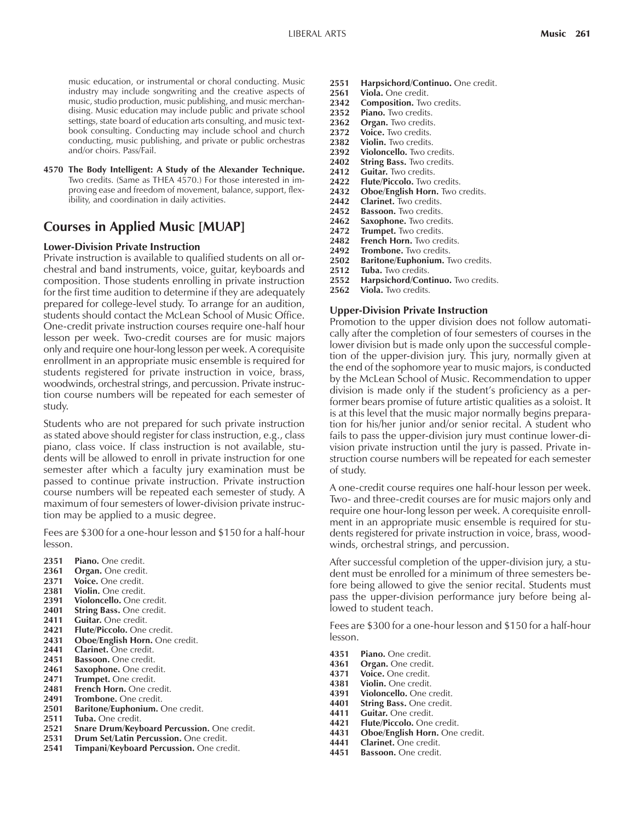music education, or instrumental or choral conducting. Music industry may include songwriting and the creative aspects of music, studio production, music publishing, and music merchandising. Music education may include public and private school settings, state board of education arts consulting, and music textbook consulting. Conducting may include school and church conducting, music publishing, and private or public orchestras and/or choirs. Pass/Fail.

**4570 The Body Intelligent: A Study of the Alexander Technique.** Two credits. (Same as THEA 4570.) For those interested in improving ease and freedom of movement, balance, support, flexibility, and coordination in daily activities.

# **Courses in Applied Music [MUAP]**

#### **Lower-Division Private Instruction**

Private instruction is available to qualified students on all orchestral and band instruments, voice, guitar, keyboards and composition. Those students enrolling in private instruction for the first time audition to determine if they are adequately prepared for college-level study. To arrange for an audition, students should contact the McLean School of Music Office. One-credit private instruction courses require one-half hour lesson per week. Two-credit courses are for music majors only and require one hour-long lesson per week. A corequisite enrollment in an appropriate music ensemble is required for students registered for private instruction in voice, brass, woodwinds, orchestral strings, and percussion. Private instruction course numbers will be repeated for each semester of study.

Students who are not prepared for such private instruction as stated above should register for class instruction, e.g., class piano, class voice. If class instruction is not available, students will be allowed to enroll in private instruction for one semester after which a faculty jury examination must be passed to continue private instruction. Private instruction course numbers will be repeated each semester of study. A maximum of four semesters of lower-division private instruction may be applied to a music degree.

Fees are \$300 for a one-hour lesson and \$150 for a half-hour lesson.

- **2351 Piano.** One credit.
- **2361 Organ.** One credit.
- **2371 Voice.** One credit.
- **2381 Violin.** One credit.
- 2391 **Violoncello.** One credit.
- **2401 String Bass.** One credit.
- 2411 Guitar. One credit.
- **2421 Flute/Piccolo.** One credit.
- 2431 **Oboe/English Horn.** One credit.
- **2441 Clarinet.** One credit.
- **2451 Bassoon.** One credit.
- **2461 Saxophone.** One credit.
- 2471 **Trumpet.** One credit.<br>2481 **French Horn.** One cre French Horn. One credit.
- 2491 **Trombone.** One credit.
- **2501 Baritone/Euphonium.** One credit.
- **2511 Tuba.** One credit.
- **2521 Snare Drum/Keyboard Percussion.** One credit.
- **2531 Drum Set/Latin Percussion.** One credit.
- **2541 Timpani/Keyboard Percussion.** One credit.
- **2551 Harpsichord/Continuo.** One credit.
- 2561 Viola. One credit.
- **2342 Composition.** Two credits.
- **2352 Piano.** Two credits.
- **2362 Organ.** Two credits.
- 2372 Voice. Two credits.
- 2382 Violin. Two credits.
- 2392 **Violoncello.** Two credits.<br>2402 **String Bass.** Two credits. **String Bass.** Two credits.
- **2412 Guitar.** Two credits.
- **2422 Flute/Piccolo.** Two credits.
- **2432 Oboe/English Horn.** Two credits.
- **2442 Clarinet.** Two credits.
- **2452 Bassoon.** Two credits.
- **Saxophone.** Two credits.
- 2472 Trumpet. Two credits.
- 2482 French Horn. Two credits.<br>2492 Trombone. Two credits.
- **2492 Trombone.** Two credits.
- **2502 Baritone/Euphonium.** Two credits.
- 2512 Tuba. Two credits.<br>2552 Harpsichord/Con
- **2552 Harpsichord/Continuo.** Two credits.
- 2562 Viola. Two credits.

#### **Upper-Division Private Instruction**

Promotion to the upper division does not follow automatically after the completion of four semesters of courses in the lower division but is made only upon the successful completion of the upper-division jury. This jury, normally given at the end of the sophomore year to music majors, is conducted by the McLean School of Music. Recommendation to upper division is made only if the student's proficiency as a performer bears promise of future artistic qualities as a soloist. It is at this level that the music major normally begins preparation for his/her junior and/or senior recital. A student who fails to pass the upper-division jury must continue lower-division private instruction until the jury is passed. Private instruction course numbers will be repeated for each semester of study.

A one-credit course requires one half-hour lesson per week. Two- and three-credit courses are for music majors only and require one hour-long lesson per week. A corequisite enrollment in an appropriate music ensemble is required for students registered for private instruction in voice, brass, woodwinds, orchestral strings, and percussion.

After successful completion of the upper-division jury, a student must be enrolled for a minimum of three semesters before being allowed to give the senior recital. Students must pass the upper-division performance jury before being allowed to student teach.

Fees are \$300 for a one-hour lesson and \$150 for a half-hour lesson.

- **4351 Piano.** One credit.
- 
- 4361 **Organ.** One credit.<br>4371 **Voice.** One credit. **4371 Voice.** One credit.
- **4381 Violin.** One credit.
- **4391 Violoncello.** One credit.
- **String Bass. One credit.**
- **4411 Guitar. One credit.**<br>**4421 Flute/Piccolo. One**
- **4421 Flute/Piccolo.** One credit.
- **4431 Oboe/English Horn.** One credit.
- **4441 Clarinet.** One credit.
- 4451 Bassoon. One credit.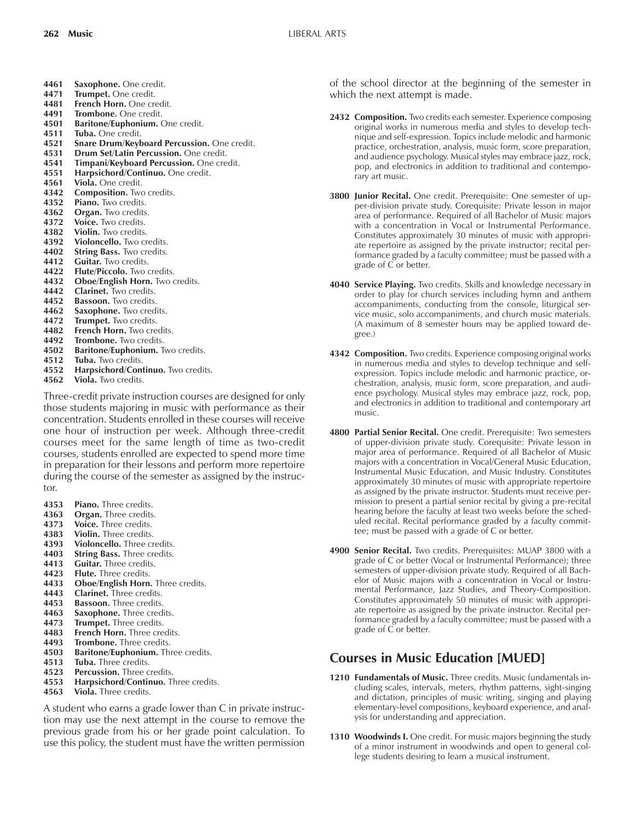- **4461 Saxophone.** One credit.
- **4471 Trumpet.** One credit.
- **4481 French Horn.** One credit.
- **4491 Trombone.** One credit.
- **4501 Baritone/Euphonium.** One credit.
- **4511 Tuba.** One credit.
- **4521 Snare Drum/Keyboard Percussion.** One credit.
- **4531 Drum Set/Latin Percussion.** One credit.
- **4541 Timpani/Keyboard Percussion.** One credit. **4551 Harpsichord/Continuo.** One credit.
- **4561 Viola.** One credit.
- 4342 **Composition.** Two credits.
- **4352 Piano.** Two credits.
- **4362 Organ.** Two credits.
- 
- 4372 Voice. Two credits.<br>4382 Violin. Two credits. **4382 Violin.** Two credits.
- **4392 Violoncello.** Two credits.
- 
- 4402 **String Bass.** Two credits.<br>4412 **Guitar.** Two credits. Guitar. Two credits.
- **4422 Flute/Piccolo.** Two credits.
- **4432 Oboe/English Horn.** Two credits.
- **4442 Clarinet.** Two credits.
- 4452 Bassoon. Two credits.
- 
- **4462 Saxophone.** Two credits.<br>**4472 Trumpet.** Two credits. **Trumpet.** Two credits.
- 4482 French Horn. Two credits.
- 4492 Trombone. Two credits.
- **4502 Baritone/Euphonium.** Two credits.
- **4512 Tuba.** Two credits.
- **4552 Harpsichord/Continuo.** Two credits.
- **4562 Viola.** Two credits.

Three-credit private instruction courses are designed for only those students majoring in music with performance as their concentration. Students enrolled in these courses will receive one hour of instruction per week. Although three-credit courses meet for the same length of time as two-credit courses, students enrolled are expected to spend more time in preparation for their lessons and perform more repertoire during the course of the semester as assigned by the instructor.

- **4353 Piano.** Three credits.
- **4363 Organ.** Three credits.
- **4373 Voice.** Three credits.
- **4383 Violin.** Three credits.
- **4393 Violoncello.** Three credits.<br>**4403** String Bass. Three credits
- **String Bass. Three credits.**
- **4413 Guitar.** Three credits.
- **4423 Flute.** Three credits.
- **4433 Oboe/English Horn.** Three credits.
- **4443 Clarinet.** Three credits.
- **4453 Bassoon.** Three credits.
- **4463 Saxophone.** Three credits.
- **4473 Trumpet.** Three credits.
- 4483 **French Horn.** Three credits.<br>4493 **Trombone.** Three credits.
- **Trombone.** Three credits.
- **4503 Baritone/Euphonium.** Three credits.
- **4513 Tuba.** Three credits.
- 4523 **Percussion.** Three credits.
- **4553 Harpsichord/Continuo.** Three credits.
- **4563 Viola.** Three credits.

A student who earns a grade lower than C in private instruction may use the next attempt in the course to remove the previous grade from his or her grade point calculation. To use this policy, the student must have the written permission

of the school director at the beginning of the semester in which the next attempt is made.

- **2432 Composition.** Two credits each semester. Experience composing original works in numerous media and styles to develop technique and self-expression. Topics include melodic and harmonic practice, orchestration, analysis, music form, score preparation, and audience psychology. Musical styles may embrace jazz, rock, pop, and electronics in addition to traditional and contemporary art music.
- **3800 Junior Recital.** One credit. Prerequisite: One semester of upper-division private study. Corequisite: Private lesson in major area of performance. Required of all Bachelor of Music majors with a concentration in Vocal or Instrumental Performance. Constitutes approximately 30 minutes of music with appropriate repertoire as assigned by the private instructor; recital performance graded by a faculty committee; must be passed with a grade of C or better.
- **4040 Service Playing.** Two credits. Skills and knowledge necessary in order to play for church services including hymn and anthem accompaniments, conducting from the console, liturgical service music, solo accompaniments, and church music materials. (A maximum of 8 semester hours may be applied toward degree.)
- **4342 Composition.** Two credits. Experience composing original works in numerous media and styles to develop technique and selfexpression. Topics include melodic and harmonic practice, orchestration, analysis, music form, score preparation, and audience psychology. Musical styles may embrace jazz, rock, pop, and electronics in addition to traditional and contemporary art music.
- **4800 Partial Senior Recital.** One credit. Prerequisite: Two semesters of upper-division private study. Corequisite: Private lesson in major area of performance. Required of all Bachelor of Music majors with a concentration in Vocal/General Music Education, Instrumental Music Education, and Music Industry. Constitutes approximately 30 minutes of music with appropriate repertoire as assigned by the private instructor. Students must receive permission to present a partial senior recital by giving a pre-recital hearing before the faculty at least two weeks before the scheduled recital. Recital performance graded by a faculty committee; must be passed with a grade of C or better.
- **4900 Senior Recital.** Two credits. Prerequisites: MUAP 3800 with a grade of C or better (Vocal or Instrumental Performance); three semesters of upper-division private study. Required of all Bachelor of Music majors with a concentration in Vocal or Instrumental Performance, Jazz Studies, and Theory-Composition. Constitutes approximately 50 minutes of music with appropriate repertoire as assigned by the private instructor. Recital performance graded by a faculty committee; must be passed with a grade of C or better.

# **Courses in Music Education [MUED]**

- **1210 Fundamentals of Music.** Three credits. Music fundamentals including scales, intervals, meters, rhythm patterns, sight-singing and dictation, principles of music writing, singing and playing elementary-level compositions, keyboard experience, and analysis for understanding and appreciation.
- **1310 Woodwinds I.** One credit. For music majors beginning the study of a minor instrument in woodwinds and open to general college students desiring to learn a musical instrument.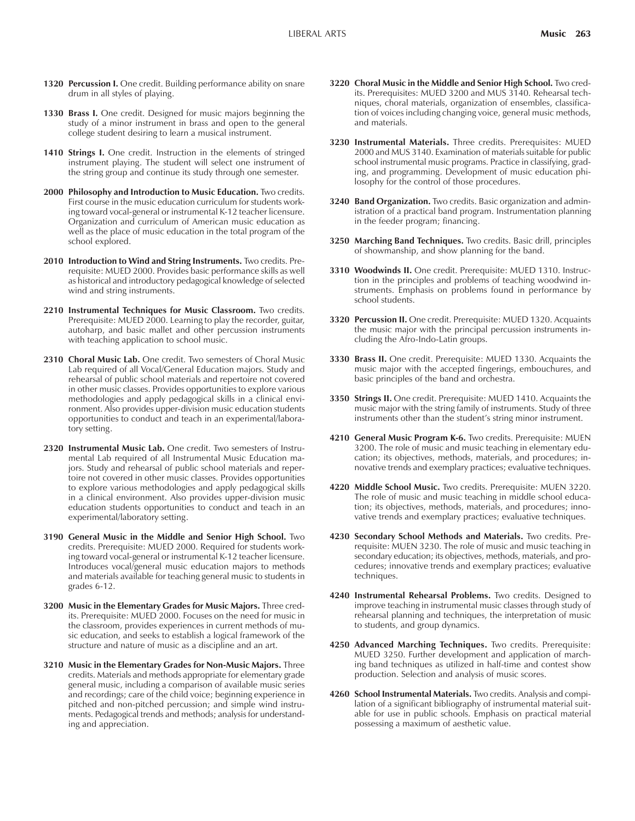- **1320 Percussion I.** One credit. Building performance ability on snare drum in all styles of playing.
- **1330 Brass I.** One credit. Designed for music majors beginning the study of a minor instrument in brass and open to the general college student desiring to learn a musical instrument.
- **1410 Strings I.** One credit. Instruction in the elements of stringed instrument playing. The student will select one instrument of the string group and continue its study through one semester.
- **2000 Philosophy and Introduction to Music Education.** Two credits. First course in the music education curriculum for students working toward vocal-general or instrumental K-12 teacher licensure. Organization and curriculum of American music education as well as the place of music education in the total program of the school explored.
- **2010 Introduction to Wind and String Instruments.** Two credits. Prerequisite: MUED 2000. Provides basic performance skills as well as historical and introductory pedagogical knowledge of selected wind and string instruments.
- **2210 Instrumental Techniques for Music Classroom.** Two credits. Prerequisite: MUED 2000. Learning to play the recorder, guitar, autoharp, and basic mallet and other percussion instruments with teaching application to school music.
- **2310 Choral Music Lab.** One credit. Two semesters of Choral Music Lab required of all Vocal/General Education majors. Study and rehearsal of public school materials and repertoire not covered in other music classes. Provides opportunities to explore various methodologies and apply pedagogical skills in a clinical environment. Also provides upper-division music education students opportunities to conduct and teach in an experimental/laboratory setting.
- **2320 Instrumental Music Lab.** One credit. Two semesters of Instrumental Lab required of all Instrumental Music Education majors. Study and rehearsal of public school materials and repertoire not covered in other music classes. Provides opportunities to explore various methodologies and apply pedagogical skills in a clinical environment. Also provides upper-division music education students opportunities to conduct and teach in an experimental/laboratory setting.
- **3190 General Music in the Middle and Senior High School.** Two credits. Prerequisite: MUED 2000. Required for students working toward vocal-general or instrumental K-12 teacher licensure. Introduces vocal/general music education majors to methods and materials available for teaching general music to students in grades 6-12.
- **3200 Music in the Elementary Grades for Music Majors.** Three credits. Prerequisite: MUED 2000. Focuses on the need for music in the classroom, provides experiences in current methods of music education, and seeks to establish a logical framework of the structure and nature of music as a discipline and an art.
- **3210 Music in the Elementary Grades for Non-Music Majors.** Three credits. Materials and methods appropriate for elementary grade general music, including a comparison of available music series and recordings; care of the child voice; beginning experience in pitched and non-pitched percussion; and simple wind instruments. Pedagogical trends and methods; analysis for understanding and appreciation.
- **3220 Choral Music in the Middle and Senior High School.** Two credits. Prerequisites: MUED 3200 and MUS 3140. Rehearsal techniques, choral materials, organization of ensembles, classification of voices including changing voice, general music methods, and materials.
- **3230 Instrumental Materials.** Three credits. Prerequisites: MUED 2000 and MUS 3140. Examination of materials suitable for public school instrumental music programs. Practice in classifying, grading, and programming. Development of music education philosophy for the control of those procedures.
- **3240 Band Organization.** Two credits. Basic organization and administration of a practical band program. Instrumentation planning in the feeder program; financing.
- **3250 Marching Band Techniques.** Two credits. Basic drill, principles of showmanship, and show planning for the band.
- **3310 Woodwinds II.** One credit. Prerequisite: MUED 1310. Instruction in the principles and problems of teaching woodwind instruments. Emphasis on problems found in performance by school students.
- **3320 Percussion II.** One credit. Prerequisite: MUED 1320. Acquaints the music major with the principal percussion instruments including the Afro-Indo-Latin groups.
- **3330 Brass II.** One credit. Prerequisite: MUED 1330. Acquaints the music major with the accepted fingerings, embouchures, and basic principles of the band and orchestra.
- **3350 Strings II.** One credit. Prerequisite: MUED 1410. Acquaints the music major with the string family of instruments. Study of three instruments other than the student's string minor instrument.
- **4210 General Music Program K-6.** Two credits. Prerequisite: MUEN 3200. The role of music and music teaching in elementary education; its objectives, methods, materials, and procedures; innovative trends and exemplary practices; evaluative techniques.
- **4220 Middle School Music.** Two credits. Prerequisite: MUEN 3220. The role of music and music teaching in middle school education; its objectives, methods, materials, and procedures; innovative trends and exemplary practices; evaluative techniques.
- **4230 Secondary School Methods and Materials.** Two credits. Prerequisite: MUEN 3230. The role of music and music teaching in secondary education; its objectives, methods, materials, and procedures; innovative trends and exemplary practices; evaluative techniques.
- **4240 Instrumental Rehearsal Problems.** Two credits. Designed to improve teaching in instrumental music classes through study of rehearsal planning and techniques, the interpretation of music to students, and group dynamics.
- **4250 Advanced Marching Techniques.** Two credits. Prerequisite: MUED 3250. Further development and application of marching band techniques as utilized in half-time and contest show production. Selection and analysis of music scores.
- **4260 School Instrumental Materials.** Two credits. Analysis and compilation of a significant bibliography of instrumental material suitable for use in public schools. Emphasis on practical material possessing a maximum of aesthetic value.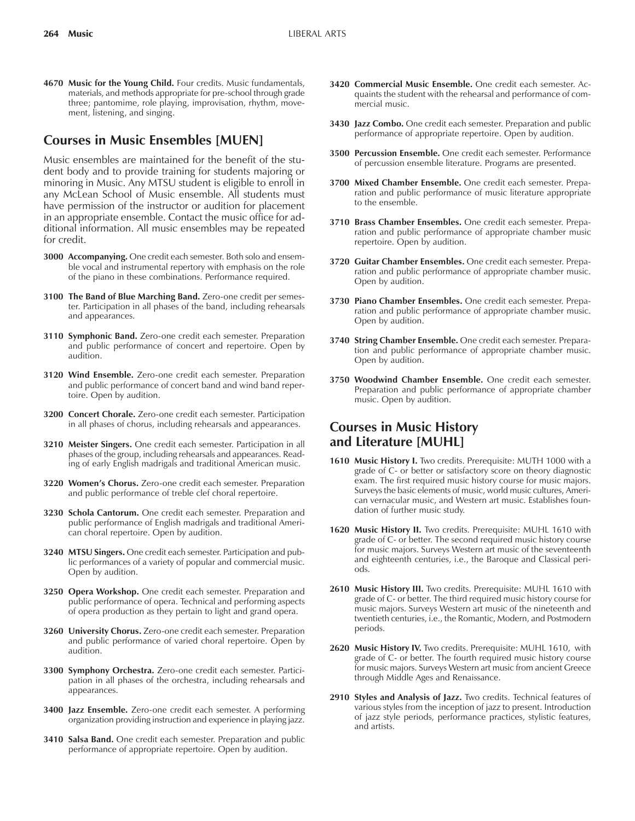**4670 Music for the Young Child.** Four credits. Music fundamentals, materials, and methods appropriate for pre-school through grade three; pantomime, role playing, improvisation, rhythm, movement, listening, and singing.

# **Courses in Music Ensembles [MUEN]**

Music ensembles are maintained for the benefit of the student body and to provide training for students majoring or minoring in Music. Any MTSU student is eligible to enroll in any McLean School of Music ensemble. All students must have permission of the instructor or audition for placement in an appropriate ensemble. Contact the music office for additional information. All music ensembles may be repeated for credit.

- **3000 Accompanying.** One credit each semester. Both solo and ensemble vocal and instrumental repertory with emphasis on the role of the piano in these combinations. Performance required.
- **3100 The Band of Blue Marching Band.** Zero-one credit per semester. Participation in all phases of the band, including rehearsals and appearances.
- **3110 Symphonic Band.** Zero-one credit each semester. Preparation and public performance of concert and repertoire. Open by audition.
- **3120 Wind Ensemble.** Zero-one credit each semester. Preparation and public performance of concert band and wind band repertoire. Open by audition.
- **3200 Concert Chorale.** Zero-one credit each semester. Participation in all phases of chorus, including rehearsals and appearances.
- **3210 Meister Singers.** One credit each semester. Participation in all phases of the group, including rehearsals and appearances. Reading of early English madrigals and traditional American music.
- **3220 Womenís Chorus.** Zero-one credit each semester. Preparation and public performance of treble clef choral repertoire.
- **3230 Schola Cantorum.** One credit each semester. Preparation and public performance of English madrigals and traditional American choral repertoire. Open by audition.
- **3240 MTSU Singers.** One credit each semester. Participation and public performances of a variety of popular and commercial music. Open by audition.
- **3250 Opera Workshop.** One credit each semester. Preparation and public performance of opera. Technical and performing aspects of opera production as they pertain to light and grand opera.
- **3260 University Chorus.** Zero-one credit each semester. Preparation and public performance of varied choral repertoire. Open by audition.
- **3300 Symphony Orchestra.** Zero-one credit each semester. Participation in all phases of the orchestra, including rehearsals and appearances.
- **3400 Jazz Ensemble.** Zero-one credit each semester. A performing organization providing instruction and experience in playing jazz.
- **3410 Salsa Band.** One credit each semester. Preparation and public performance of appropriate repertoire. Open by audition.
- **3420 Commercial Music Ensemble.** One credit each semester. Acquaints the student with the rehearsal and performance of commercial music.
- **3430 Jazz Combo.** One credit each semester. Preparation and public performance of appropriate repertoire. Open by audition.
- **3500 Percussion Ensemble.** One credit each semester. Performance of percussion ensemble literature. Programs are presented.
- **3700 Mixed Chamber Ensemble.** One credit each semester. Preparation and public performance of music literature appropriate to the ensemble.
- **3710 Brass Chamber Ensembles.** One credit each semester. Preparation and public performance of appropriate chamber music repertoire. Open by audition.
- **3720 Guitar Chamber Ensembles.** One credit each semester. Preparation and public performance of appropriate chamber music. Open by audition.
- **3730 Piano Chamber Ensembles.** One credit each semester. Preparation and public performance of appropriate chamber music. Open by audition.
- **3740 String Chamber Ensemble.** One credit each semester. Preparation and public performance of appropriate chamber music. Open by audition.
- **3750 Woodwind Chamber Ensemble.** One credit each semester. Preparation and public performance of appropriate chamber music. Open by audition.

# **Courses in Music History and Literature [MUHL]**

- **1610 Music History I.** Two credits. Prerequisite: MUTH 1000 with a grade of C- or better or satisfactory score on theory diagnostic exam. The first required music history course for music majors. Surveys the basic elements of music, world music cultures, American vernacular music, and Western art music. Establishes foundation of further music study.
- **1620 Music History II.** Two credits. Prerequisite: MUHL 1610 with grade of C- or better. The second required music history course for music majors. Surveys Western art music of the seventeenth and eighteenth centuries, i.e., the Baroque and Classical periods.
- **2610 Music History III.** Two credits. Prerequisite: MUHL 1610 with grade of C- or better. The third required music history course for music majors. Surveys Western art music of the nineteenth and twentieth centuries, i.e., the Romantic, Modern, and Postmodern periods.
- 2620 Music History IV. Two credits. Prerequisite: MUHL 1610, with grade of C- or better. The fourth required music history course for music majors. Surveys Western art music from ancient Greece through Middle Ages and Renaissance.
- **2910 Styles and Analysis of Jazz.** Two credits. Technical features of various styles from the inception of jazz to present. Introduction of jazz style periods, performance practices, stylistic features, and artists.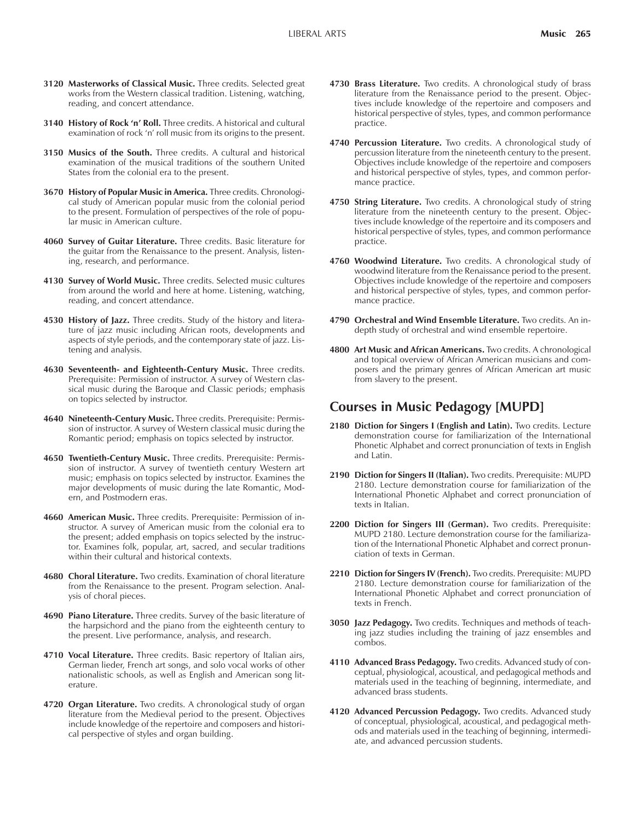- **3120 Masterworks of Classical Music.** Three credits. Selected great works from the Western classical tradition. Listening, watching, reading, and concert attendance.
- **3140 History of Rock 'n' Roll.** Three credits. A historical and cultural examination of rock 'n' roll music from its origins to the present.
- **3150 Musics of the South.** Three credits. A cultural and historical examination of the musical traditions of the southern United States from the colonial era to the present.
- **3670 History of Popular Music in America.** Three credits. Chronological study of American popular music from the colonial period to the present. Formulation of perspectives of the role of popular music in American culture.
- **4060 Survey of Guitar Literature.** Three credits. Basic literature for the guitar from the Renaissance to the present. Analysis, listening, research, and performance.
- **4130 Survey of World Music.** Three credits. Selected music cultures from around the world and here at home. Listening, watching, reading, and concert attendance.
- **4530 History of Jazz.** Three credits. Study of the history and literature of jazz music including African roots, developments and aspects of style periods, and the contemporary state of jazz. Listening and analysis.
- **4630 Seventeenth- and Eighteenth-Century Music.** Three credits. Prerequisite: Permission of instructor. A survey of Western classical music during the Baroque and Classic periods; emphasis on topics selected by instructor.
- **4640 Nineteenth-Century Music.** Three credits. Prerequisite: Permission of instructor. A survey of Western classical music during the Romantic period; emphasis on topics selected by instructor.
- **4650 Twentieth-Century Music.** Three credits. Prerequisite: Permission of instructor. A survey of twentieth century Western art music; emphasis on topics selected by instructor. Examines the major developments of music during the late Romantic, Modern, and Postmodern eras.
- **4660 American Music.** Three credits. Prerequisite: Permission of instructor. A survey of American music from the colonial era to the present; added emphasis on topics selected by the instructor. Examines folk, popular, art, sacred, and secular traditions within their cultural and historical contexts.
- **4680 Choral Literature.** Two credits. Examination of choral literature from the Renaissance to the present. Program selection. Analysis of choral pieces.
- **4690 Piano Literature.** Three credits. Survey of the basic literature of the harpsichord and the piano from the eighteenth century to the present. Live performance, analysis, and research.
- **4710 Vocal Literature.** Three credits. Basic repertory of Italian airs, German lieder, French art songs, and solo vocal works of other nationalistic schools, as well as English and American song literature.
- **4720 Organ Literature.** Two credits. A chronological study of organ literature from the Medieval period to the present. Objectives include knowledge of the repertoire and composers and historical perspective of styles and organ building.
- **4730 Brass Literature.** Two credits. A chronological study of brass literature from the Renaissance period to the present. Objectives include knowledge of the repertoire and composers and historical perspective of styles, types, and common performance practice.
- **4740 Percussion Literature.** Two credits. A chronological study of percussion literature from the nineteenth century to the present. Objectives include knowledge of the repertoire and composers and historical perspective of styles, types, and common performance practice.
- **4750 String Literature.** Two credits. A chronological study of string literature from the nineteenth century to the present. Objectives include knowledge of the repertoire and its composers and historical perspective of styles, types, and common performance practice.
- **4760 Woodwind Literature.** Two credits. A chronological study of woodwind literature from the Renaissance period to the present. Objectives include knowledge of the repertoire and composers and historical perspective of styles, types, and common performance practice.
- **4790 Orchestral and Wind Ensemble Literature.** Two credits. An indepth study of orchestral and wind ensemble repertoire.
- **4800 Art Music and African Americans.** Two credits. A chronological and topical overview of African American musicians and composers and the primary genres of African American art music from slavery to the present.

# **Courses in Music Pedagogy [MUPD]**

- 2180 Diction for Singers I (English and Latin). Two credits. Lecture demonstration course for familiarization of the International Phonetic Alphabet and correct pronunciation of texts in English and Latin.
- **2190 Diction for Singers II (Italian).** Two credits. Prerequisite: MUPD 2180. Lecture demonstration course for familiarization of the International Phonetic Alphabet and correct pronunciation of texts in Italian.
- **2200 Diction for Singers III (German).** Two credits. Prerequisite: MUPD 2180. Lecture demonstration course for the familiarization of the International Phonetic Alphabet and correct pronunciation of texts in German.
- **2210 Diction for Singers IV (French).** Two credits. Prerequisite: MUPD 2180. Lecture demonstration course for familiarization of the International Phonetic Alphabet and correct pronunciation of texts in French.
- **3050 Jazz Pedagogy.** Two credits. Techniques and methods of teaching jazz studies including the training of jazz ensembles and combos.
- **4110 Advanced Brass Pedagogy.** Two credits. Advanced study of conceptual, physiological, acoustical, and pedagogical methods and materials used in the teaching of beginning, intermediate, and advanced brass students.
- **4120 Advanced Percussion Pedagogy.** Two credits. Advanced study of conceptual, physiological, acoustical, and pedagogical methods and materials used in the teaching of beginning, intermediate, and advanced percussion students.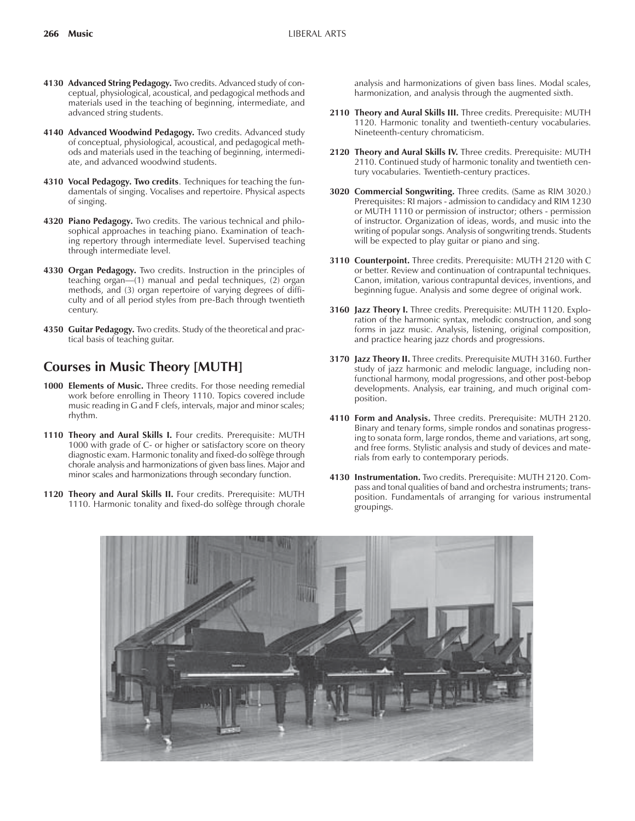- **4130 Advanced String Pedagogy.** Two credits. Advanced study of conceptual, physiological, acoustical, and pedagogical methods and materials used in the teaching of beginning, intermediate, and advanced string students.
- **4140 Advanced Woodwind Pedagogy.** Two credits. Advanced study of conceptual, physiological, acoustical, and pedagogical methods and materials used in the teaching of beginning, intermediate, and advanced woodwind students.
- **4310 Vocal Pedagogy. Two credits**. Techniques for teaching the fundamentals of singing. Vocalises and repertoire. Physical aspects of singing.
- **4320 Piano Pedagogy.** Two credits. The various technical and philosophical approaches in teaching piano. Examination of teaching repertory through intermediate level. Supervised teaching through intermediate level.
- **4330 Organ Pedagogy.** Two credits. Instruction in the principles of teaching organ—(1) manual and pedal techniques, (2) organ methods, and (3) organ repertoire of varying degrees of difficulty and of all period styles from pre-Bach through twentieth century.
- **4350 Guitar Pedagogy.** Two credits. Study of the theoretical and practical basis of teaching guitar.

# **Courses in Music Theory [MUTH]**

- **1000 Elements of Music.** Three credits. For those needing remedial work before enrolling in Theory 1110. Topics covered include music reading in G and F clefs, intervals, major and minor scales; rhythm.
- **1110 Theory and Aural Skills I.** Four credits. Prerequisite: MUTH 1000 with grade of C- or higher or satisfactory score on theory diagnostic exam. Harmonic tonality and fixed-do solfège through chorale analysis and harmonizations of given bass lines. Major and minor scales and harmonizations through secondary function.
- **1120 Theory and Aural Skills II.** Four credits. Prerequisite: MUTH 1110. Harmonic tonality and fixed-do solfège through chorale

analysis and harmonizations of given bass lines. Modal scales, harmonization, and analysis through the augmented sixth.

- **2110 Theory and Aural Skills III.** Three credits. Prerequisite: MUTH 1120. Harmonic tonality and twentieth-century vocabularies. Nineteenth-century chromaticism.
- **2120 Theory and Aural Skills IV.** Three credits. Prerequisite: MUTH 2110. Continued study of harmonic tonality and twentieth century vocabularies. Twentieth-century practices.
- **3020 Commercial Songwriting.** Three credits. (Same as RIM 3020.) Prerequisites: RI majors - admission to candidacy and RIM 1230 or MUTH 1110 or permission of instructor; others - permission of instructor. Organization of ideas, words, and music into the writing of popular songs. Analysis of songwriting trends. Students will be expected to play guitar or piano and sing.
- **3110 Counterpoint.** Three credits. Prerequisite: MUTH 2120 with C or better. Review and continuation of contrapuntal techniques. Canon, imitation, various contrapuntal devices, inventions, and beginning fugue. Analysis and some degree of original work.
- **3160 Jazz Theory I.** Three credits. Prerequisite: MUTH 1120. Exploration of the harmonic syntax, melodic construction, and song forms in jazz music. Analysis, listening, original composition, and practice hearing jazz chords and progressions.
- **3170 Jazz Theory II.** Three credits. Prerequisite MUTH 3160. Further study of jazz harmonic and melodic language, including nonfunctional harmony, modal progressions, and other post-bebop developments. Analysis, ear training, and much original composition.
- **4110 Form and Analysis.** Three credits. Prerequisite: MUTH 2120. Binary and tenary forms, simple rondos and sonatinas progressing to sonata form, large rondos, theme and variations, art song, and free forms. Stylistic analysis and study of devices and materials from early to contemporary periods.
- **4130 Instrumentation.** Two credits. Prerequisite: MUTH 2120. Compass and tonal qualities of band and orchestra instruments; transposition. Fundamentals of arranging for various instrumental groupings.